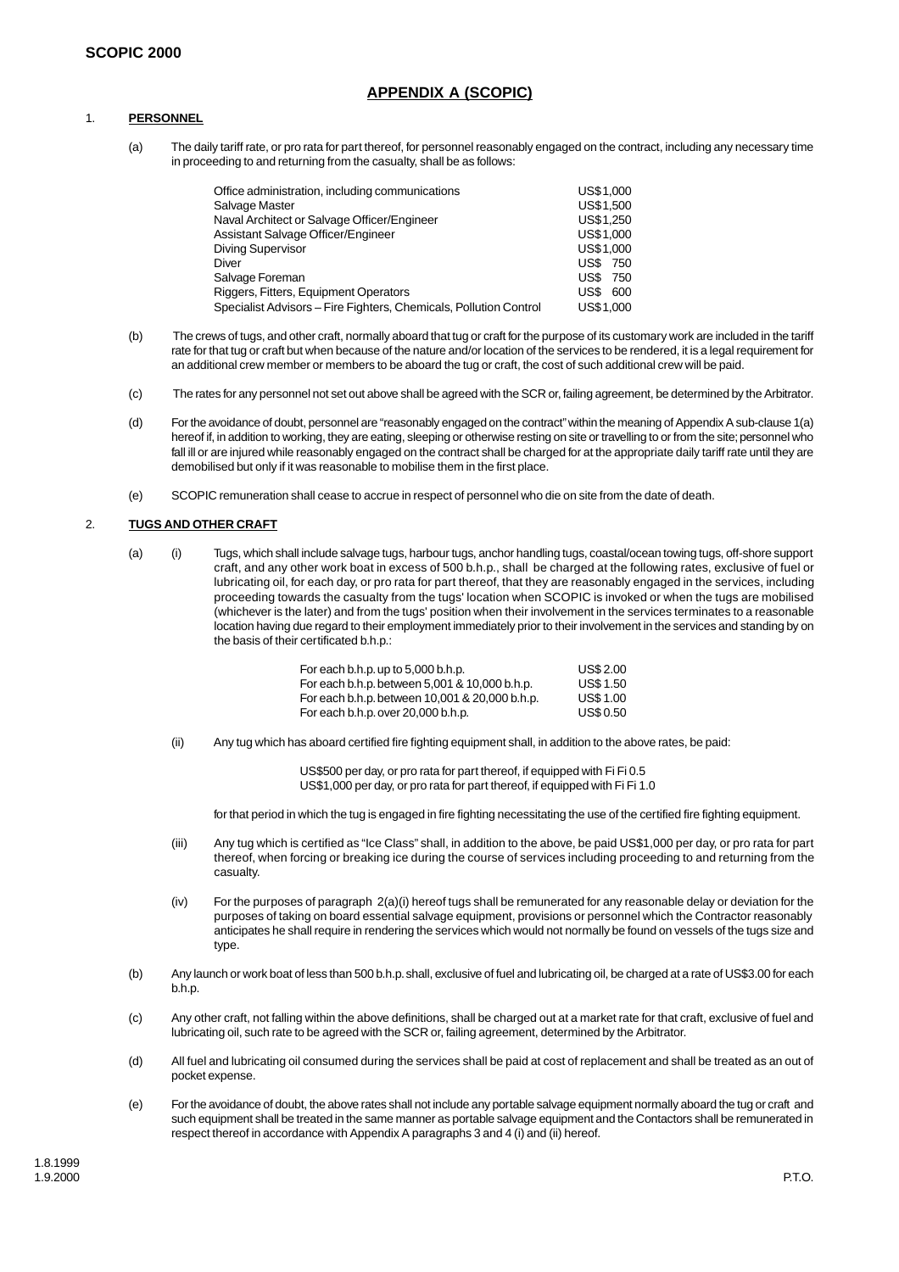# **APPENDIX A (SCOPIC)**

#### 1. **PERSONNEL**

(a) The daily tariff rate, or pro rata for part thereof, for personnel reasonably engaged on the contract, including any necessary time in proceeding to and returning from the casualty, shall be as follows:

| Office administration, including communications                   | US\$1,000   |
|-------------------------------------------------------------------|-------------|
| Salvage Master                                                    | US\$1.500   |
| Naval Architect or Salvage Officer/Engineer                       | US\$1,250   |
| Assistant Salvage Officer/Engineer                                | US\$1,000   |
| <b>Diving Supervisor</b>                                          | US\$1,000   |
| Diver                                                             | 750<br>US\$ |
| Salvage Foreman                                                   | 750<br>US\$ |
| Riggers, Fitters, Equipment Operators                             | 600<br>US\$ |
| Specialist Advisors - Fire Fighters, Chemicals, Pollution Control | US\$1,000   |

- (b) The crews of tugs, and other craft, normally aboard that tug or craft for the purpose of its customary work are included in the tariff rate for that tug or craft but when because of the nature and/or location of the services to be rendered, it is a legal requirement for an additional crew member or members to be aboard the tug or craft, the cost of such additional crew will be paid.
- (c) The rates for any personnel not set out above shall be agreed with the SCR or, failing agreement, be determined by the Arbitrator.
- (d) For the avoidance of doubt, personnel are "reasonably engaged on the contract" within the meaning of Appendix A sub-clause 1(a) hereof if, in addition to working, they are eating, sleeping or otherwise resting on site or travelling to or from the site; personnel who fall ill or are injured while reasonably engaged on the contract shall be charged for at the appropriate daily tariff rate until they are demobilised but only if it was reasonable to mobilise them in the first place.
- (e) SCOPIC remuneration shall cease to accrue in respect of personnel who die on site from the date of death.

### 2. **TUGS AND OTHER CRAFT**

(a) (i) Tugs, which shall include salvage tugs, harbour tugs, anchor handling tugs, coastal/ocean towing tugs, off-shore support craft, and any other work boat in excess of 500 b.h.p., shall be charged at the following rates, exclusive of fuel or lubricating oil, for each day, or pro rata for part thereof, that they are reasonably engaged in the services, including proceeding towards the casualty from the tugs' location when SCOPIC is invoked or when the tugs are mobilised (whichever is the later) and from the tugs' position when their involvement in the services terminates to a reasonable location having due regard to their employment immediately prior to their involvement in the services and standing by on the basis of their certificated b.h.p.:

| For each b.h.p. up to 5,000 b.h.p.             | <b>US\$ 2.00</b> |
|------------------------------------------------|------------------|
| For each b.h.p. between 5,001 & 10,000 b.h.p.  | <b>US\$1.50</b>  |
| For each b.h.p. between 10,001 & 20,000 b.h.p. | <b>US\$1.00</b>  |
| For each b.h.p. over 20,000 b.h.p.             | <b>US\$ 0.50</b> |

(ii) Any tug which has aboard certified fire fighting equipment shall, in addition to the above rates, be paid:

US\$500 per day, or pro rata for part thereof, if equipped with Fi Fi 0.5 US\$1,000 per day, or pro rata for part thereof, if equipped with Fi Fi 1.0

for that period in which the tug is engaged in fire fighting necessitating the use of the certified fire fighting equipment.

- (iii) Any tug which is certified as "Ice Class" shall, in addition to the above, be paid US\$1,000 per day, or pro rata for part thereof, when forcing or breaking ice during the course of services including proceeding to and returning from the casualty.
- (iv) For the purposes of paragraph 2(a)(i) hereof tugs shall be remunerated for any reasonable delay or deviation for the purposes of taking on board essential salvage equipment, provisions or personnel which the Contractor reasonably anticipates he shall require in rendering the services which would not normally be found on vessels of the tugs size and type.
- (b) Any launch or work boat of less than 500 b.h.p. shall, exclusive of fuel and lubricating oil, be charged at a rate of US\$3.00 for each b.h.p.
- (c) Any other craft, not falling within the above definitions, shall be charged out at a market rate for that craft, exclusive of fuel and lubricating oil, such rate to be agreed with the SCR or, failing agreement, determined by the Arbitrator.
- (d) All fuel and lubricating oil consumed during the services shall be paid at cost of replacement and shall be treated as an out of pocket expense.
- (e) For the avoidance of doubt, the above rates shall not include any portable salvage equipment normally aboard the tug or craft and such equipment shall be treated in the same manner as portable salvage equipment and the Contactors shall be remunerated in respect thereof in accordance with Appendix A paragraphs 3 and 4 (i) and (ii) hereof.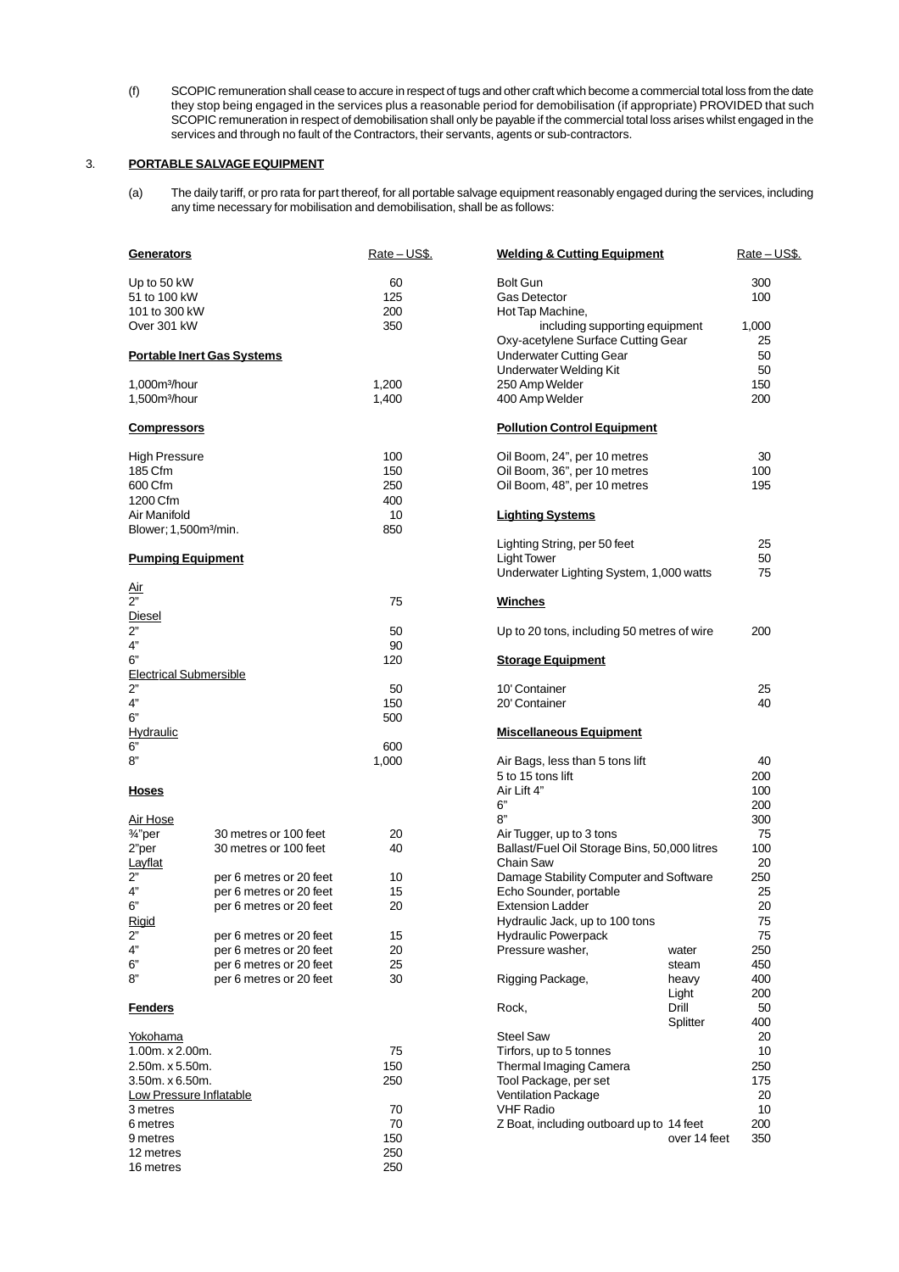(f) SCOPIC remuneration shall cease to accure in respect of tugs and other craft which become a commercial total loss from the date they stop being engaged in the services plus a reasonable period for demobilisation (if appropriate) PROVIDED that such SCOPIC remuneration in respect of demobilisation shall only be payable if the commercial total loss arises whilst engaged in the services and through no fault of the Contractors, their servants, agents or sub-contractors.

## 3. **PORTABLE SALVAGE EQUIPMENT**

(a) The daily tariff, or pro rata for part thereof, for all portable salvage equipment reasonably engaged during the services, including any time necessary for mobilisation and demobilisation, shall be as follows:

| <b>Generators</b>                 |                                   | <u>Rate – US\$.</u> | <b>Welding &amp; Cutting Equipment</b>                               |                              | $Rate - US$.$ |
|-----------------------------------|-----------------------------------|---------------------|----------------------------------------------------------------------|------------------------------|---------------|
| Up to 50 kW                       | 60<br><b>Bolt Gun</b>             |                     |                                                                      | 300                          |               |
| 51 to 100 kW                      |                                   | 125                 | <b>Gas Detector</b>                                                  |                              | 100           |
| 101 to 300 kW                     |                                   | 200                 | Hot Tap Machine,                                                     |                              |               |
| Over 301 kW                       |                                   | 350                 | including supporting equipment                                       |                              | 1,000         |
|                                   | <b>Portable Inert Gas Systems</b> |                     | Oxy-acetylene Surface Cutting Gear<br><b>Underwater Cutting Gear</b> |                              | 25<br>50      |
| 1,000m <sup>3</sup> /hour         |                                   | 1,200               | <b>Underwater Welding Kit</b><br>250 Amp Welder                      |                              | 50<br>150     |
| 1,500m <sup>3</sup> /hour         |                                   | 1,400               | 400 Amp Welder                                                       |                              | 200           |
|                                   |                                   |                     |                                                                      |                              |               |
| <b>Compressors</b>                |                                   |                     | <b>Pollution Control Equipment</b>                                   |                              |               |
| <b>High Pressure</b>              |                                   | 100<br>150          |                                                                      | Oil Boom, 24", per 10 metres |               |
|                                   | 185 Cfm                           |                     |                                                                      | Oil Boom, 36", per 10 metres |               |
| 600 Cfm                           |                                   | 250                 | Oil Boom, 48", per 10 metres                                         |                              | 195           |
| 1200 Cfm                          |                                   | 400                 |                                                                      |                              |               |
| Air Manifold                      |                                   | 10                  | <b>Lighting Systems</b>                                              |                              |               |
| Blower; 1,500m <sup>3</sup> /min. |                                   | 850                 |                                                                      |                              |               |
|                                   |                                   |                     | Lighting String, per 50 feet                                         |                              | 25            |
| <b>Pumping Equipment</b>          |                                   |                     | <b>Light Tower</b>                                                   |                              | 50            |
| <u>Air</u>                        |                                   |                     | Underwater Lighting System, 1,000 watts                              |                              | 75            |
| 2"                                |                                   | 75                  | <b>Winches</b>                                                       |                              |               |
| <b>Diesel</b>                     |                                   |                     |                                                                      |                              |               |
| 2"                                |                                   | 50                  | Up to 20 tons, including 50 metres of wire                           |                              | 200           |
| 4"                                |                                   | 90                  |                                                                      |                              |               |
| 6"                                |                                   | 120                 | <b>Storage Equipment</b>                                             |                              |               |
| <b>Electrical Submersible</b>     |                                   |                     |                                                                      |                              |               |
| 2"                                |                                   | 50                  | 10' Container                                                        |                              | 25            |
| 4"                                |                                   | 150                 | 20' Container                                                        |                              | 40            |
| 6"                                |                                   | 500                 |                                                                      |                              |               |
| Hydraulic                         |                                   |                     | <b>Miscellaneous Equipment</b>                                       |                              |               |
| 6"                                |                                   | 600                 |                                                                      |                              |               |
| 8"                                |                                   | 1,000               | Air Bags, less than 5 tons lift                                      |                              | 40            |
|                                   |                                   |                     | 5 to 15 tons lift                                                    |                              | 200           |
| Hoses                             |                                   |                     | Air Lift 4"                                                          |                              | 100           |
|                                   |                                   |                     | 6"                                                                   |                              | 200           |
| Air Hose                          |                                   |                     | 8"                                                                   |                              | 300           |
| $\frac{3}{4}$ "per                | 30 metres or 100 feet             | 20                  | Air Tugger, up to 3 tons                                             |                              | 75            |
| 2"per                             | 30 metres or 100 feet             | 40                  | Ballast/Fuel Oil Storage Bins, 50,000 litres                         |                              | 100           |
| Layflat                           |                                   |                     | <b>Chain Saw</b>                                                     |                              | 20            |
| 2"                                | per 6 metres or 20 feet           | 10                  | Damage Stability Computer and Software                               |                              | 250           |
| 4"                                | per 6 metres or 20 feet           | 15                  | Echo Sounder, portable                                               |                              | 25            |
| 6"                                | per 6 metres or 20 feet           | 20                  | <b>Extension Ladder</b>                                              |                              | 20            |
| Rigid                             |                                   |                     | Hydraulic Jack, up to 100 tons                                       |                              | 75            |
| 2"                                | per 6 metres or 20 feet           | 15                  | <b>Hydraulic Powerpack</b>                                           |                              | 75            |
| 4"                                | per 6 metres or 20 feet           | 20                  | Pressure washer,                                                     | water                        | 250           |
| 6"                                | per 6 metres or 20 feet           | 25                  |                                                                      | steam                        | 450           |
| 8"                                | per 6 metres or 20 feet           | 30                  | Rigging Package,                                                     | heavy                        | 400           |
|                                   |                                   |                     |                                                                      | Light                        | 200           |
| Fenders                           |                                   |                     | Rock,                                                                | Drill                        | 50            |
|                                   |                                   |                     |                                                                      | Splitter                     | 400           |
| Yokohama                          |                                   |                     | <b>Steel Saw</b>                                                     |                              | 20            |
| 1.00m. x 2.00m.                   |                                   | 75                  | Tirfors, up to 5 tonnes                                              |                              | 10            |
| 2.50m. x 5.50m.                   |                                   | 150                 | <b>Thermal Imaging Camera</b>                                        |                              | 250           |
| 3.50m. x 6.50m.                   |                                   | 250                 | Tool Package, per set                                                |                              | 175           |
| Low Pressure Inflatable           |                                   |                     | <b>Ventilation Package</b>                                           |                              | 20            |
| 3 metres                          |                                   | 70                  | <b>VHF Radio</b>                                                     |                              | 10            |
| 6 metres                          |                                   | 70                  | Z Boat, including outboard up to 14 feet                             |                              | 200           |
| 9 metres                          |                                   | 150                 |                                                                      | over 14 feet                 | 350           |
| 12 metres                         |                                   | 250                 |                                                                      |                              |               |
| 16 metres                         |                                   | 250                 |                                                                      |                              |               |